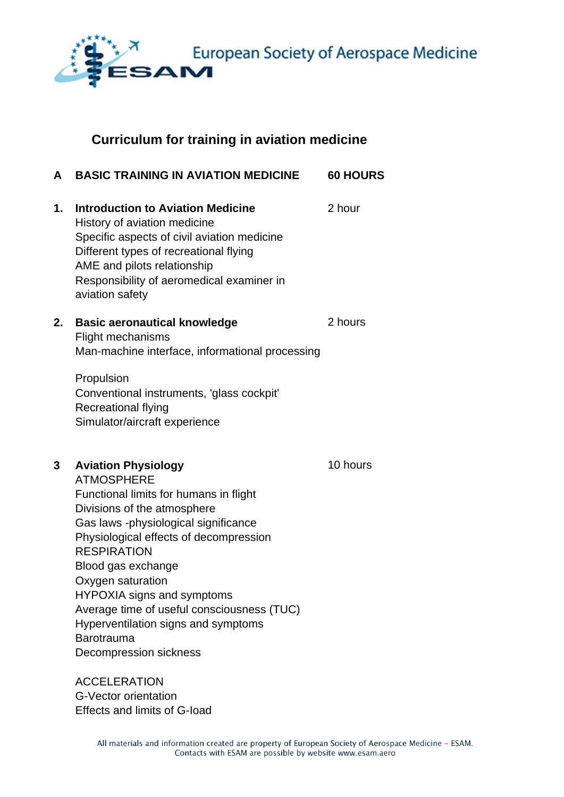

European Society of Aerospace Medicine

## **Curriculum for training in aviation medicine**

| A  | <b>BASIC TRAINING IN AVIATION MEDICINE</b>                                                                                                                                                                                                                                                                                                                                                                                                    | <b>60 HOURS</b> |
|----|-----------------------------------------------------------------------------------------------------------------------------------------------------------------------------------------------------------------------------------------------------------------------------------------------------------------------------------------------------------------------------------------------------------------------------------------------|-----------------|
| 1. | <b>Introduction to Aviation Medicine</b><br>History of aviation medicine<br>Specific aspects of civil aviation medicine<br>Different types of recreational flying<br>AME and pilots relationship<br>Responsibility of aeromedical examiner in<br>aviation safety                                                                                                                                                                              | 2 hour          |
| 2. | <b>Basic aeronautical knowledge</b><br><b>Flight mechanisms</b><br>Man-machine interface, informational processing                                                                                                                                                                                                                                                                                                                            | 2 hours         |
|    | Propulsion<br>Conventional instruments, 'glass cockpit'<br><b>Recreational flying</b><br>Simulator/aircraft experience                                                                                                                                                                                                                                                                                                                        |                 |
| 3  | <b>Aviation Physiology</b><br><b>ATMOSPHERE</b><br>Functional limits for humans in flight<br>Divisions of the atmosphere<br>Gas laws -physiological significance<br>Physiological effects of decompression<br><b>RESPIRATION</b><br>Blood gas exchange<br>Oxygen saturation<br>HYPOXIA signs and symptoms<br>Average time of useful consciousness (TUC)<br>Hyperventilation signs and symptoms<br><b>Barotrauma</b><br>Decompression sickness | 10 hours        |
|    | <b>ACCELERATION</b>                                                                                                                                                                                                                                                                                                                                                                                                                           |                 |

G-Vector orientation Effects and limits of G-Ioad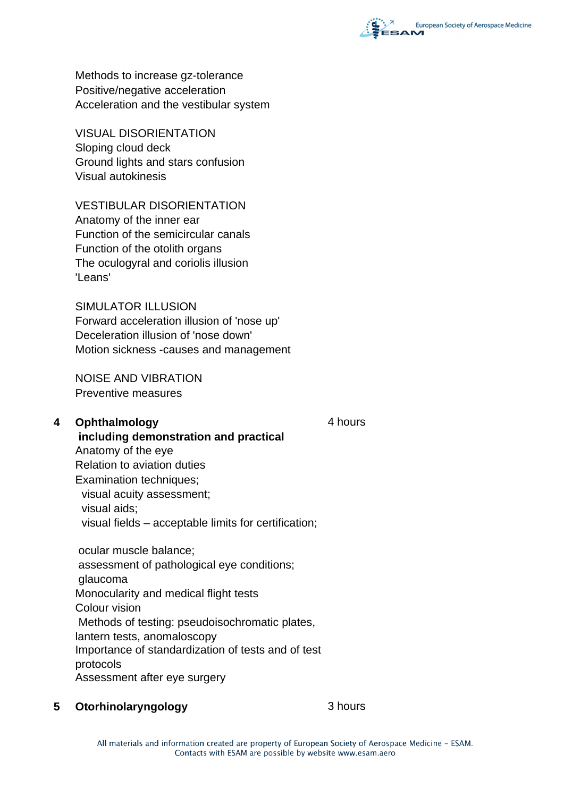

Methods to increase gz-tolerance Positive/negative acceleration Acceleration and the vestibular system

VISUAL DISORIENTATION Sloping cloud deck Ground lights and stars confusion Visual autokinesis

VESTIBULAR DISORIENTATION Anatomy of the inner ear Function of the semicircular canals Function of the otolith organs The oculogyral and coriolis illusion 'Leans'

SIMULATOR ILLUSION Forward acceleration illusion of 'nose up' Deceleration illusion of 'nose down' Motion sickness -causes and management

NOISE AND VIBRATION Preventive measures

**4 Ophthalmology** 4 hours

 **including demonstration and practical** Anatomy of the eye Relation to aviation duties Examination techniques: visual acuity assessment; visual aids; visual fields – acceptable limits for certification;

 ocular muscle balance; assessment of pathological eye conditions; glaucoma Monocularity and medical flight tests Colour vision Methods of testing: pseudoisochromatic plates, lantern tests, anomaloscopy Importance of standardization of tests and of test protocols Assessment after eye surgery

**5 Otorhinolaryngology** 3 hours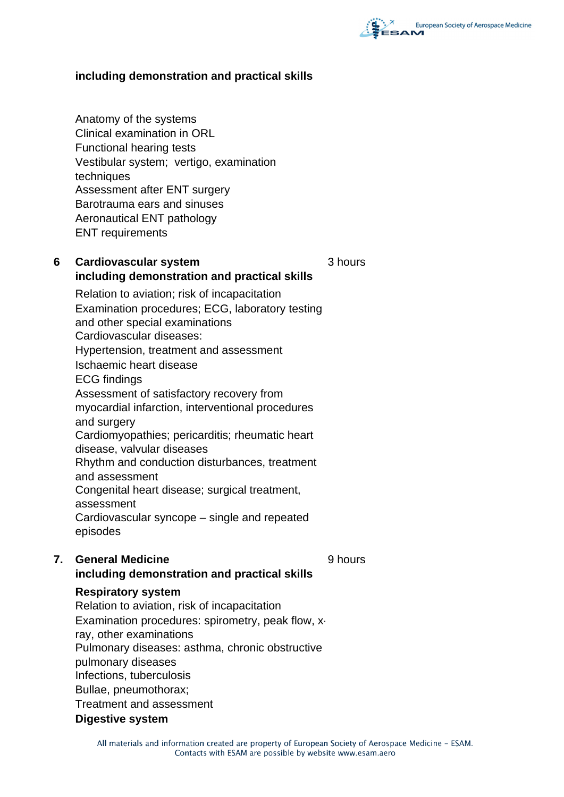

### **including demonstration and practical skills**

Anatomy of the systems Clinical examination in ORL Functional hearing tests Vestibular system; vertigo, examination techniques Assessment after ENT surgery Barotrauma ears and sinuses Aeronautical ENT pathology ENT requirements

### **6 Cardiovascular system including demonstration and practical skills**

3 hours

9 hours

Relation to aviation; risk of incapacitation Examination procedures; ECG, laboratory testing and other special examinations Cardiovascular diseases: Hypertension, treatment and assessment Ischaemic heart disease ECG findings Assessment of satisfactory recovery from myocardial infarction, interventional procedures and surgery Cardiomyopathies; pericarditis; rheumatic heart disease, valvular diseases Rhythm and conduction disturbances, treatment and assessment Congenital heart disease; surgical treatment, assessment Cardiovascular syncope – single and repeated episodes

## **7. General Medicine including demonstration and practical skills**

#### **Respiratory system**

Relation to aviation, risk of incapacitation Examination procedures: spirometry, peak flow, xray, other examinations Pulmonary diseases: asthma, chronic obstructive pulmonary diseases Infections, tuberculosis Bullae, pneumothorax; Treatment and assessment **Digestive system**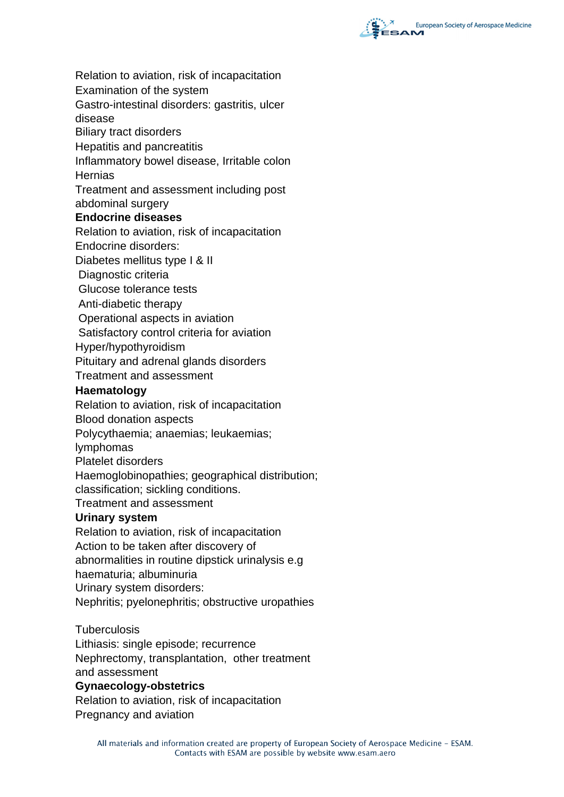

Relation to aviation, risk of incapacitation

Examination of the system

Gastro-intestinal disorders: gastritis, ulcer disease

Biliary tract disorders

Hepatitis and pancreatitis

Inflammatory bowel disease, Irritable colon

**Hernias** 

Treatment and assessment including post abdominal surgery

# **Endocrine diseases**

Relation to aviation, risk of incapacitation

Endocrine disorders:

Diabetes mellitus type I & II

Diagnostic criteria

Glucose tolerance tests

Anti-diabetic therapy

Operational aspects in aviation

Satisfactory control criteria for aviation

Hyper/hypothyroidism

Pituitary and adrenal glands disorders

Treatment and assessment

### **Haematology**

Relation to aviation, risk of incapacitation

Blood donation aspects

Polycythaemia; anaemias; leukaemias;

lymphomas

Platelet disorders

Haemoglobinopathies; geographical distribution; classification; sickling conditions.

Treatment and assessment

### **Urinary system**

Relation to aviation, risk of incapacitation Action to be taken after discovery of abnormalities in routine dipstick urinalysis e.g haematuria; albuminuria Urinary system disorders: Nephritis; pyelonephritis; obstructive uropathies

**Tuberculosis** 

Lithiasis: single episode; recurrence Nephrectomy, transplantation, other treatment and assessment **Gynaecology-obstetrics**

Relation to aviation, risk of incapacitation Pregnancy and aviation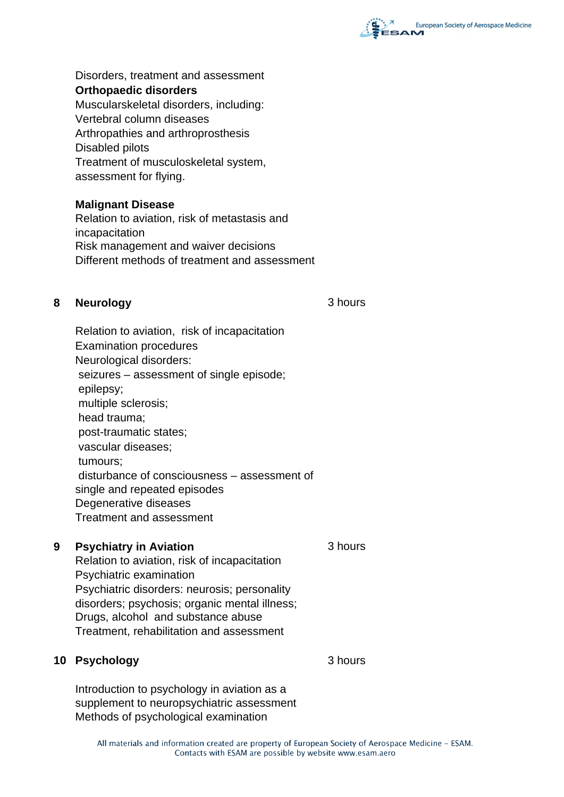

Disorders, treatment and assessment **Orthopaedic disorders** Muscularskeletal disorders, including: Vertebral column diseases Arthropathies and arthroprosthesis Disabled pilots Treatment of musculoskeletal system, assessment for flying.

### **Malignant Disease**

Relation to aviation, risk of metastasis and incapacitation Risk management and waiver decisions Different methods of treatment and assessment

## **8 Neurology** 3 hours

Relation to aviation, risk of incapacitation Examination procedures Neurological disorders: seizures – assessment of single episode; epilepsy; multiple sclerosis; head trauma; post-traumatic states; vascular diseases; tumours; disturbance of consciousness – assessment of single and repeated episodes Degenerative diseases Treatment and assessment

## **9 Psychiatry in Aviation 3 hours**

Relation to aviation, risk of incapacitation Psychiatric examination Psychiatric disorders: neurosis; personality disorders; psychosis; organic mental illness; Drugs, alcohol and substance abuse Treatment, rehabilitation and assessment

### **10 Psychology** 3 hours

Introduction to psychology in aviation as a supplement to neuropsychiatric assessment Methods of psychological examination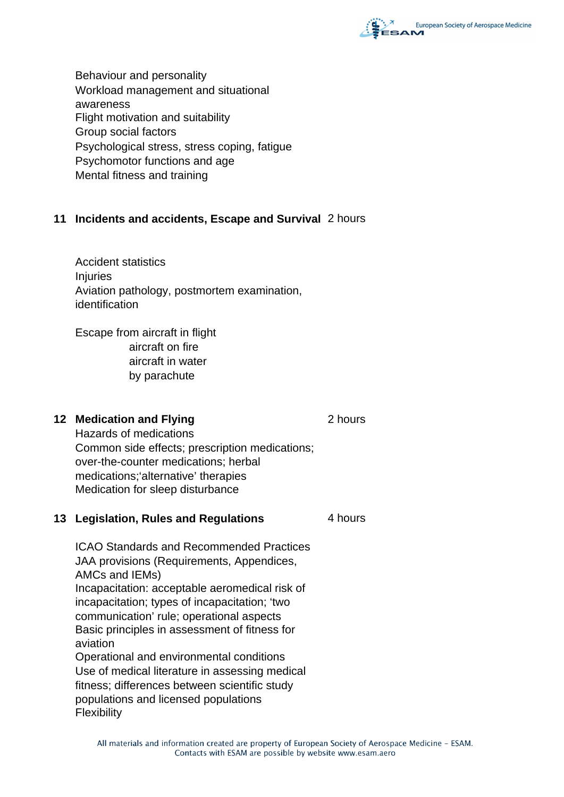

Behaviour and personality Workload management and situational awareness Flight motivation and suitability Group social factors Psychological stress, stress coping, fatigue Psychomotor functions and age Mental fitness and training

## **11 Incidents and accidents, Escape and Survival** 2 hours

Accident statistics Injuries Aviation pathology, postmortem examination, identification

Escape from aircraft in flight aircraft on fire aircraft in water by parachute

### **12 Medication and Flying 2 hours 2 hours**

Hazards of medications Common side effects; prescription medications; over-the-counter medications; herbal medications;'alternative' therapies Medication for sleep disturbance

### **13 Legislation, Rules and Regulations** 4 hours

ICAO Standards and Recommended Practices JAA provisions (Requirements, Appendices, AMCs and IEMs) Incapacitation: acceptable aeromedical risk of incapacitation; types of incapacitation; 'two communication' rule; operational aspects Basic principles in assessment of fitness for aviation Operational and environmental conditions Use of medical literature in assessing medical fitness; differences between scientific study populations and licensed populations Flexibility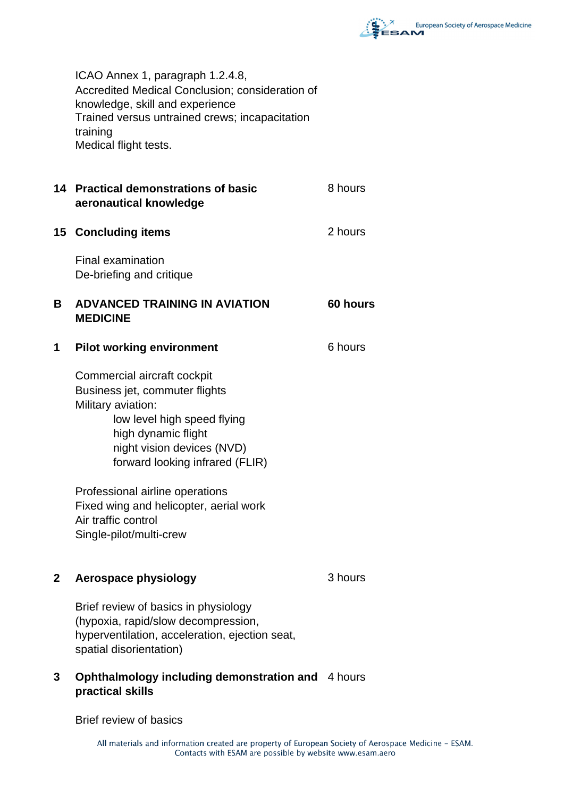

ICAO Annex 1, paragraph 1.2.4.8, Accredited Medical Conclusion; consideration of knowledge, skill and experience Trained versus untrained crews; incapacitation training Medical flight tests.

## **14 Practical demonstrations of basic aeronautical knowledge**

#### **15 Concluding items** 2 hours

Final examination De-briefing and critique

## **B ADVANCED TRAINING IN AVIATION MEDICINE**

#### **1 Pilot working environment** 6 hours

Commercial aircraft cockpit Business jet, commuter flights Military aviation: low level high speed flying high dynamic flight night vision devices (NVD) forward looking infrared (FLIR)

Professional airline operations Fixed wing and helicopter, aerial work Air traffic control Single-pilot/multi-crew

### **2 Aerospace physiology** 3 hours

8 hours

**60 hours**

Brief review of basics in physiology (hypoxia, rapid/slow decompression, hyperventilation, acceleration, ejection seat, spatial disorientation)

## **3 Ophthalmology including demonstration and**  4 hours **practical skills**

Brief review of basics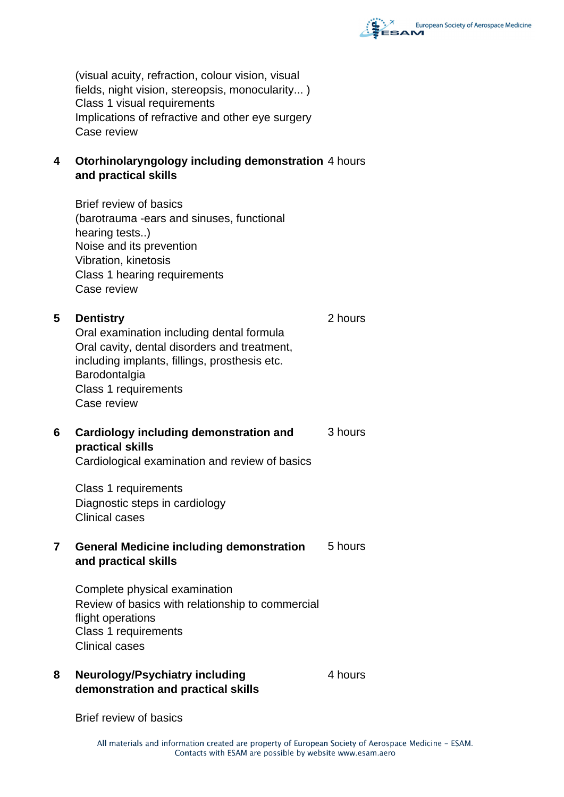

(visual acuity, refraction, colour vision, visual fields, night vision, stereopsis, monocularity... ) Class 1 visual requirements Implications of refractive and other eye surgery Case review

## **4 Otorhinolaryngology including demonstration**  4 hours **and practical skills**

Brief review of basics (barotrauma -ears and sinuses, functional hearing tests..) Noise and its prevention Vibration, kinetosis Class 1 hearing requirements Case review

## **5 Dentistry** 2 hours Oral examination including dental formula Oral cavity, dental disorders and treatment, including implants, fillings, prosthesis etc. Barodontalgia Class 1 requirements Case review

**6 Cardiology including demonstration and practical skills**  3 hours

Cardiological examination and review of basics

Class 1 requirements Diagnostic steps in cardiology Clinical cases

#### **7 General Medicine including demonstration and practical skills**  5 hours

Complete physical examination Review of basics with relationship to commercial flight operations Class 1 requirements Clinical cases

## **8 Neurology/Psychiatry including demonstration and practical skills**

4 hours

Brief review of basics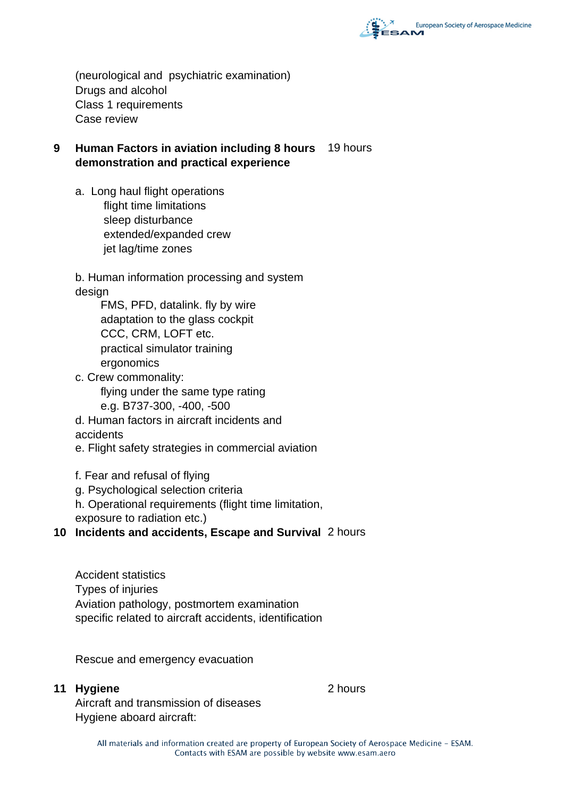

(neurological and psychiatric examination) Drugs and alcohol Class 1 requirements Case review

## **9 Human Factors in aviation including 8 hours**  19 hours **demonstration and practical experience**

a. Long haul flight operations flight time limitations sleep disturbance extended/expanded crew jet lag/time zones

b. Human information processing and system design

 FMS, PFD, datalink. fly by wire adaptation to the glass cockpit CCC, CRM, LOFT etc. practical simulator training ergonomics

c. Crew commonality: flying under the same type rating e.g. B737-300, -400, -500

d. Human factors in aircraft incidents and accidents

e. Flight safety strategies in commercial aviation

f. Fear and refusal of flying

g. Psychological selection criteria

h. Operational requirements (flight time limitation,

exposure to radiation etc.)

**10 Incidents and accidents, Escape and Survival** 2 hours

Accident statistics Types of injuries Aviation pathology, postmortem examination specific related to aircraft accidents, identification

Rescue and emergency evacuation

### **11 Hygiene** 2 hours

Aircraft and transmission of diseases Hygiene aboard aircraft: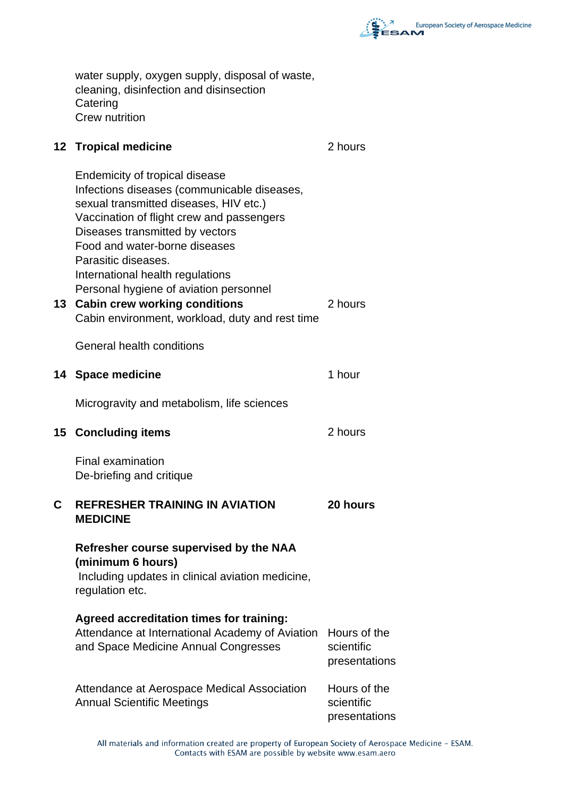

water supply, oxygen supply, disposal of waste, cleaning, disinfection and disinsection **Catering** Crew nutrition

### **12 Tropical medicine 12 Tropical medicine**

Endemicity of tropical disease Infections diseases (communicable diseases, sexual transmitted diseases, HIV etc.) Vaccination of flight crew and passengers Diseases transmitted by vectors Food and water-borne diseases Parasitic diseases. International health regulations Personal hygiene of aviation personnel **13 Cabin crew working conditions** 2 hours Cabin environment, workload, duty and rest time General health conditions **14 Space medicine** 1 hour Microgravity and metabolism, life sciences **15 Concluding items** 2 hours Final examination De-briefing and critique **C REFRESHER TRAINING IN AVIATION MEDICINE 20 hours Refresher course supervised by the NAA (minimum 6 hours)** Including updates in clinical aviation medicine, regulation etc. **Agreed accreditation times for training:** Attendance at International Academy of Aviation Hours of the and Space Medicine Annual Congresses scientific presentations Attendance at Aerospace Medical Association Annual Scientific Meetings Hours of the scientific presentations